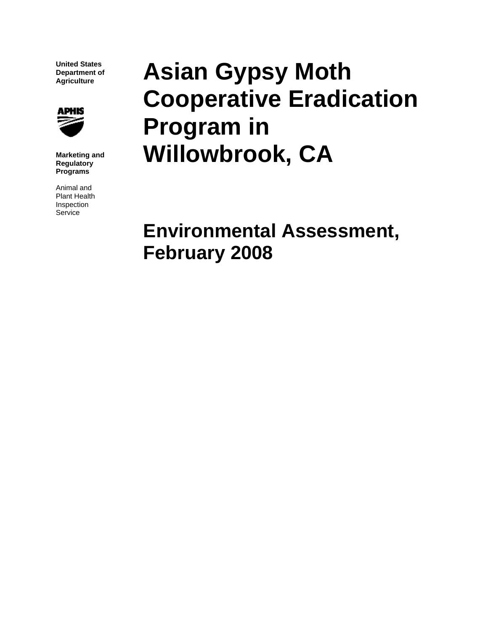**United States Department of Agriculture** 



**Marketing and Regulatory Programs**

Animal and Plant Health Inspection Service

# **Asian Gypsy Moth Cooperative Eradication Program in Willowbrook, CA**

**Environmental Assessment, February 2008**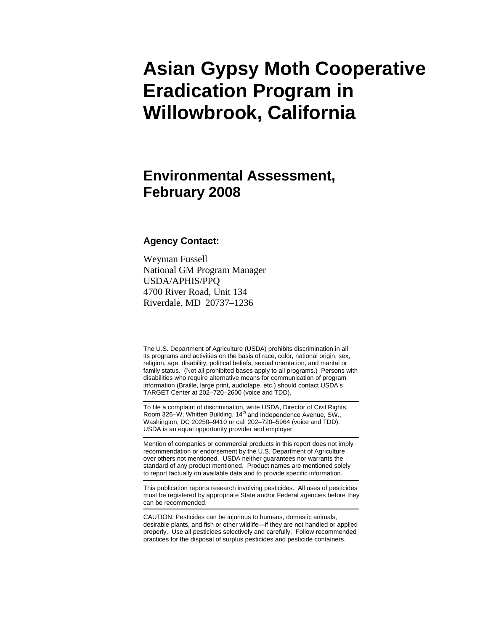## **Asian Gypsy Moth Cooperative Eradication Program in Willowbrook, California**

### **Environmental Assessment, February 2008**

#### **Agency Contact:**

Weyman Fussell National GM Program Manager USDA/APHIS/PPQ 4700 River Road, Unit 134 Riverdale, MD 20737–1236

The U.S. Department of Agriculture (USDA) prohibits discrimination in all its programs and activities on the basis of race, color, national origin, sex, religion, age, disability, political beliefs, sexual orientation, and marital or family status. (Not all prohibited bases apply to all programs.) Persons with disabilities who require alternative means for communication of program information (Braille, large print, audiotape, etc.) should contact USDA's TARGET Center at 202–720–2600 (voice and TDD).

To file a complaint of discrimination, write USDA, Director of Civil Rights, Room 326–W, Whitten Building, 14<sup>th</sup> and Independence Avenue, SW., Washington, DC 20250–9410 or call 202–720–5964 (voice and TDD). USDA is an equal opportunity provider and employer.

Mention of companies or commercial products in this report does not imply recommendation or endorsement by the U.S. Department of Agriculture over others not mentioned. USDA neither guarantees nor warrants the standard of any product mentioned. Product names are mentioned solely to report factually on available data and to provide specific information.

This publication reports research involving pesticides. All uses of pesticides must be registered by appropriate State and/or Federal agencies before they can be recommended.

CAUTION: Pesticides can be injurious to humans, domestic animals, desirable plants, and fish or other wildlife—if they are not handled or applied properly. Use all pesticides selectively and carefully. Follow recommended practices for the disposal of surplus pesticides and pesticide containers.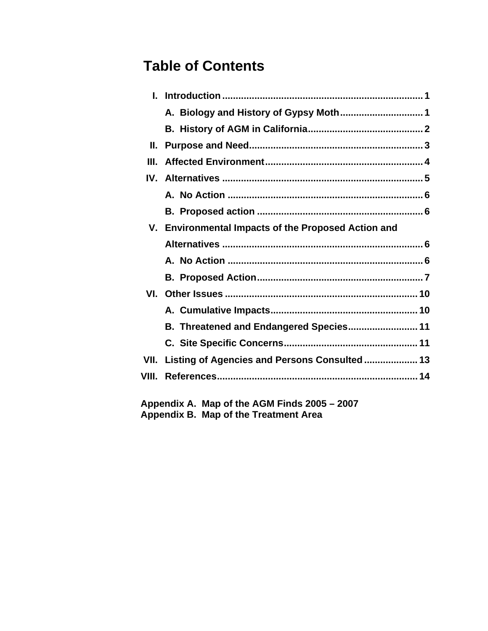### **Table of Contents**

| Н.    |                                                     |  |
|-------|-----------------------------------------------------|--|
| Ш.    |                                                     |  |
|       |                                                     |  |
|       |                                                     |  |
|       |                                                     |  |
|       | V. Environmental Impacts of the Proposed Action and |  |
|       |                                                     |  |
|       |                                                     |  |
|       |                                                     |  |
|       |                                                     |  |
|       |                                                     |  |
|       | B. Threatened and Endangered Species 11             |  |
|       |                                                     |  |
|       | VII. Listing of Agencies and Persons Consulted 13   |  |
| VIII. |                                                     |  |
|       |                                                     |  |

 **Appendix A. Map of the AGM Finds 2005 – 2007 Appendix B. Map of the Treatment Area**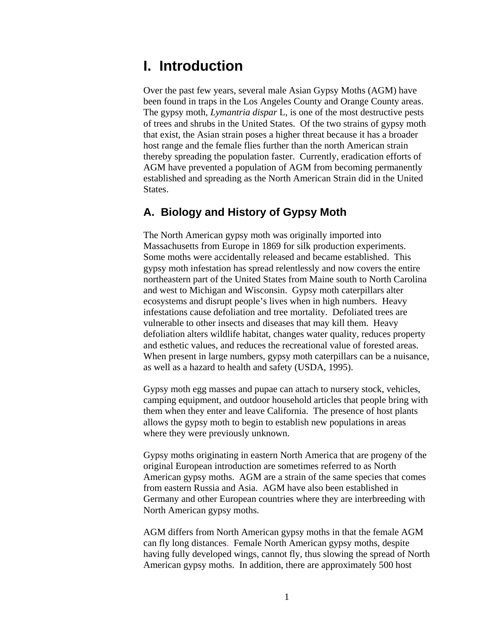### <span id="page-3-1"></span><span id="page-3-0"></span>**I. Introduction**

Over the past few years, several male Asian Gypsy Moths (AGM) have been found in traps in the Los Angeles County and Orange County areas. The gypsy moth, *Lymantria dispar* L, is one of the most destructive pests of trees and shrubs in the United States. Of the two strains of gypsy moth that exist, the Asian strain poses a higher threat because it has a broader host range and the female flies further than the north American strain thereby spreading the population faster. Currently, eradication efforts of AGM have prevented a population of AGM from becoming permanently established and spreading as the North American Strain did in the United States.

#### <span id="page-3-2"></span>**A. Biology and History of Gypsy Moth**

The North American gypsy moth was originally imported into Massachusetts from Europe in 1869 for silk production experiments. Some moths were accidentally released and became established. This gypsy moth infestation has spread relentlessly and now covers the entire northeastern part of the United States from Maine south to North Carolina and west to Michigan and Wisconsin. Gypsy moth caterpillars alter ecosystems and disrupt people's lives when in high numbers. Heavy infestations cause defoliation and tree mortality. Defoliated trees are vulnerable to other insects and diseases that may kill them. Heavy defoliation alters wildlife habitat, changes water quality, reduces property and esthetic values, and reduces the recreational value of forested areas. When present in large numbers, gypsy moth caterpillars can be a nuisance, as well as a hazard to health and safety (USDA, 1995).

Gypsy moth egg masses and pupae can attach to nursery stock, vehicles, camping equipment, and outdoor household articles that people bring with them when they enter and leave California. The presence of host plants allows the gypsy moth to begin to establish new populations in areas where they were previously unknown.

Gypsy moths originating in eastern North America that are progeny of the original European introduction are sometimes referred to as North American gypsy moths. AGM are a strain of the same species that comes from eastern Russia and Asia. AGM have also been established in Germany and other European countries where they are interbreeding with North American gypsy moths.

AGM differs from North American gypsy moths in that the female AGM can fly long distances. Female North American gypsy moths, despite having fully developed wings, cannot fly, thus slowing the spread of North American gypsy moths. In addition, there are approximately 500 host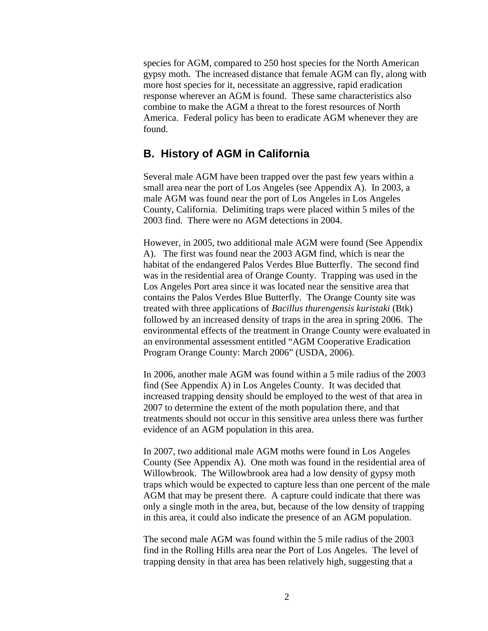<span id="page-4-0"></span>species for AGM, compared to 250 host species for the North American gypsy moth. The increased distance that female AGM can fly, along with more host species for it, necessitate an aggressive, rapid eradication response wherever an AGM is found. These same characteristics also combine to make the AGM a threat to the forest resources of North America. Federal policy has been to eradicate AGM whenever they are found.

#### <span id="page-4-1"></span>**B. History of AGM in California**

Several male AGM have been trapped over the past few years within a small area near the port of Los Angeles (see Appendix A). In 2003, a male AGM was found near the port of Los Angeles in Los Angeles County, California. Delimiting traps were placed within 5 miles of the 2003 find. There were no AGM detections in 2004.

However, in 2005, two additional male AGM were found (See Appendix A). The first was found near the 2003 AGM find, which is near the habitat of the endangered Palos Verdes Blue Butterfly. The second find was in the residential area of Orange County. Trapping was used in the Los Angeles Port area since it was located near the sensitive area that contains the Palos Verdes Blue Butterfly. The Orange County site was treated with three applications of *Bacillus thurengensis kuristaki* (Btk) followed by an increased density of traps in the area in spring 2006. The environmental effects of the treatment in Orange County were evaluated in an environmental assessment entitled "AGM Cooperative Eradication Program Orange County: March 2006" (USDA, 2006).

In 2006, another male AGM was found within a 5 mile radius of the 2003 find (See Appendix A) in Los Angeles County. It was decided that increased trapping density should be employed to the west of that area in 2007 to determine the extent of the moth population there, and that treatments should not occur in this sensitive area unless there was further evidence of an AGM population in this area.

In 2007, two additional male AGM moths were found in Los Angeles County (See Appendix A). One moth was found in the residential area of Willowbrook. The Willowbrook area had a low density of gypsy moth traps which would be expected to capture less than one percent of the male AGM that may be present there. A capture could indicate that there was only a single moth in the area, but, because of the low density of trapping in this area, it could also indicate the presence of an AGM population.

The second male AGM was found within the 5 mile radius of the 2003 find in the Rolling Hills area near the Port of Los Angeles. The level of trapping density in that area has been relatively high, suggesting that a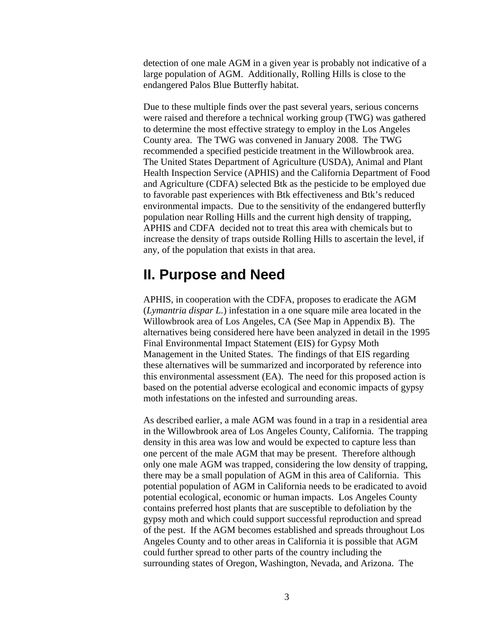<span id="page-5-0"></span>detection of one male AGM in a given year is probably not indicative of a large population of AGM. Additionally, Rolling Hills is close to the endangered Palos Blue Butterfly habitat.

Due to these multiple finds over the past several years, serious concerns were raised and therefore a technical working group (TWG) was gathered to determine the most effective strategy to employ in the Los Angeles County area. The TWG was convened in January 2008. The TWG recommended a specified pesticide treatment in the Willowbrook area. The United States Department of Agriculture (USDA), Animal and Plant Health Inspection Service (APHIS) and the California Department of Food and Agriculture (CDFA) selected Btk as the pesticide to be employed due to favorable past experiences with Btk effectiveness and Btk's reduced environmental impacts. Due to the sensitivity of the endangered butterfly population near Rolling Hills and the current high density of trapping, APHIS and CDFA decided not to treat this area with chemicals but to increase the density of traps outside Rolling Hills to ascertain the level, if any, of the population that exists in that area.

### <span id="page-5-1"></span>**II. Purpose and Need**

APHIS, in cooperation with the CDFA, proposes to eradicate the AGM (*Lymantria dispar L.*) infestation in a one square mile area located in the Willowbrook area of Los Angeles, CA (See Map in Appendix B). The alternatives being considered here have been analyzed in detail in the 1995 Final Environmental Impact Statement (EIS) for Gypsy Moth Management in the United States. The findings of that EIS regarding these alternatives will be summarized and incorporated by reference into this environmental assessment (EA). The need for this proposed action is based on the potential adverse ecological and economic impacts of gypsy moth infestations on the infested and surrounding areas.

As described earlier, a male AGM was found in a trap in a residential area in the Willowbrook area of Los Angeles County, California. The trapping density in this area was low and would be expected to capture less than one percent of the male AGM that may be present. Therefore although only one male AGM was trapped, considering the low density of trapping, there may be a small population of AGM in this area of California. This potential population of AGM in California needs to be eradicated to avoid potential ecological, economic or human impacts. Los Angeles County contains preferred host plants that are susceptible to defoliation by the gypsy moth and which could support successful reproduction and spread of the pest. If the AGM becomes established and spreads throughout Los Angeles County and to other areas in California it is possible that AGM could further spread to other parts of the country including the surrounding states of Oregon, Washington, Nevada, and Arizona. The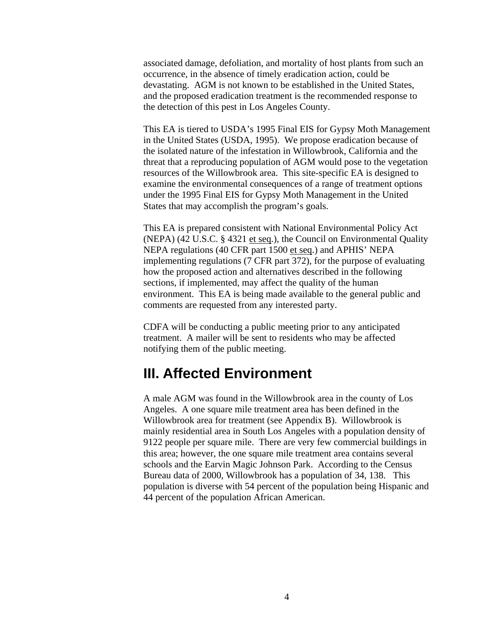<span id="page-6-0"></span>associated damage, defoliation, and mortality of host plants from such an occurrence, in the absence of timely eradication action, could be devastating. AGM is not known to be established in the United States, and the proposed eradication treatment is the recommended response to the detection of this pest in Los Angeles County.

This EA is tiered to USDA's 1995 Final EIS for Gypsy Moth Management in the United States (USDA, 1995). We propose eradication because of the isolated nature of the infestation in Willowbrook, California and the threat that a reproducing population of AGM would pose to the vegetation resources of the Willowbrook area. This site-specific EA is designed to examine the environmental consequences of a range of treatment options under the 1995 Final EIS for Gypsy Moth Management in the United States that may accomplish the program's goals.

This EA is prepared consistent with National Environmental Policy Act (NEPA) (42 U.S.C. § 4321 et seq.), the Council on Environmental Quality NEPA regulations (40 CFR part 1500 et seq.) and APHIS' NEPA implementing regulations (7 CFR part 372), for the purpose of evaluating how the proposed action and alternatives described in the following sections, if implemented, may affect the quality of the human environment. This EA is being made available to the general public and comments are requested from any interested party.

CDFA will be conducting a public meeting prior to any anticipated treatment. A mailer will be sent to residents who may be affected notifying them of the public meeting.

### <span id="page-6-1"></span>**III. Affected Environment**

A male AGM was found in the Willowbrook area in the county of Los Angeles. A one square mile treatment area has been defined in the Willowbrook area for treatment (see Appendix B). Willowbrook is mainly residential area in South Los Angeles with a population density of 9122 people per square mile. There are very few commercial buildings in this area; however, the one square mile treatment area contains several schools and the Earvin Magic Johnson Park. According to the Census Bureau data of 2000, Willowbrook has a population of 34, 138. This population is diverse with 54 percent of the population being Hispanic and 44 percent of the population African American.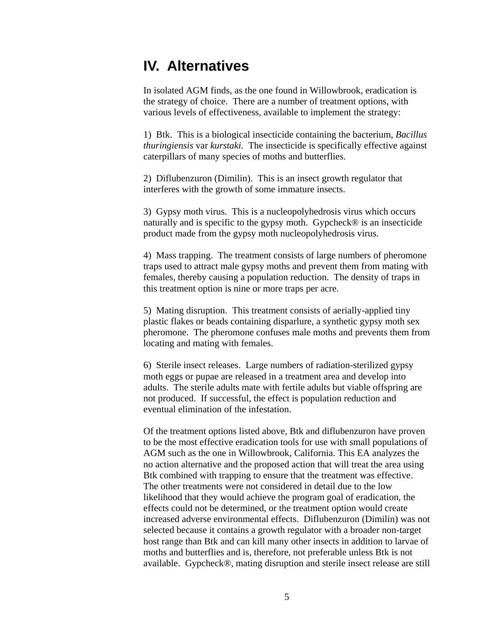### <span id="page-7-0"></span>**IV. Alternatives**

In isolated AGM finds, as the one found in Willowbrook, eradication is the strategy of choice. There are a number of treatment options, with various levels of effectiveness, available to implement the strategy:

1) Btk. This is a biological insecticide containing the bacterium, *Bacillus thuringiensis* var *kurstaki.* The insecticide is specifically effective against caterpillars of many species of moths and butterflies.

2) Diflubenzuron (Dimilin). This is an insect growth regulator that interferes with the growth of some immature insects.

3) Gypsy moth virus. This is a nucleopolyhedrosis virus which occurs naturally and is specific to the gypsy moth. Gypcheck® is an insecticide product made from the gypsy moth nucleopolyhedrosis virus.

4) Mass trapping. The treatment consists of large numbers of pheromone traps used to attract male gypsy moths and prevent them from mating with females, thereby causing a population reduction. The density of traps in this treatment option is nine or more traps per acre.

5) Mating disruption. This treatment consists of aerially-applied tiny plastic flakes or beads containing disparlure, a synthetic gypsy moth sex pheromone. The pheromone confuses male moths and prevents them from locating and mating with females.

6) Sterile insect releases. Large numbers of radiation-sterilized gypsy moth eggs or pupae are released in a treatment area and develop into adults. The sterile adults mate with fertile adults but viable offspring are not produced. If successful, the effect is population reduction and eventual elimination of the infestation.

<span id="page-7-1"></span>Of the treatment options listed above, Btk and diflubenzuron have proven to be the most effective eradication tools for use with small populations of AGM such as the one in Willowbrook, California. This EA analyzes the no action alternative and the proposed action that will treat the area using Btk combined with trapping to ensure that the treatment was effective. The other treatments were not considered in detail due to the low likelihood that they would achieve the program goal of eradication, the effects could not be determined, or the treatment option would create increased adverse environmental effects. Diflubenzuron (Dimilin) was not selected because it contains a growth regulator with a broader non-target host range than Btk and can kill many other insects in addition to larvae of moths and butterflies and is, therefore, not preferable unless Btk is not available. Gypcheck®, mating disruption and sterile insect release are still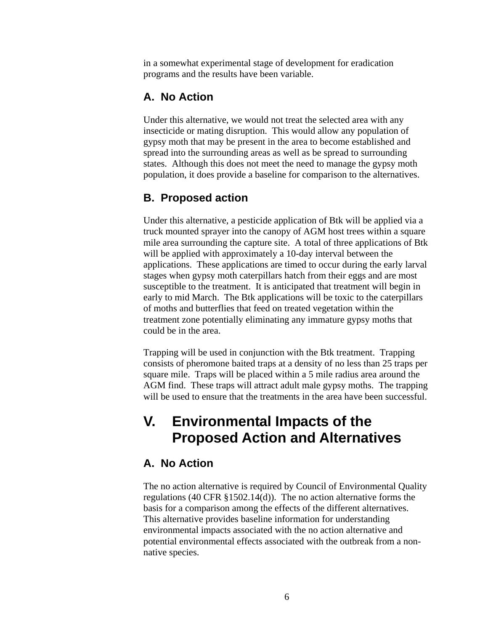<span id="page-8-0"></span>in a somewhat experimental stage of development for eradication programs and the results have been variable.

#### <span id="page-8-1"></span>**A. No Action**

Under this alternative, we would not treat the selected area with any insecticide or mating disruption. This would allow any population of gypsy moth that may be present in the area to become established and spread into the surrounding areas as well as be spread to surrounding states. Although this does not meet the need to manage the gypsy moth population, it does provide a baseline for comparison to the alternatives.

#### <span id="page-8-2"></span>**B. Proposed action**

Under this alternative, a pesticide application of Btk will be applied via a truck mounted sprayer into the canopy of AGM host trees within a square mile area surrounding the capture site. A total of three applications of Btk will be applied with approximately a 10-day interval between the applications. These applications are timed to occur during the early larval stages when gypsy moth caterpillars hatch from their eggs and are most susceptible to the treatment. It is anticipated that treatment will begin in early to mid March. The Btk applications will be toxic to the caterpillars of moths and butterflies that feed on treated vegetation within the treatment zone potentially eliminating any immature gypsy moths that could be in the area.

Trapping will be used in conjunction with the Btk treatment. Trapping consists of pheromone baited traps at a density of no less than 25 traps per square mile. Traps will be placed within a 5 mile radius area around the AGM find. These traps will attract adult male gypsy moths. The trapping will be used to ensure that the treatments in the area have been successful.

### <span id="page-8-3"></span>**V. Environmental Impacts of the Proposed Action and Alternatives**

#### <span id="page-8-4"></span>**A. No Action**

The no action alternative is required by Council of Environmental Quality regulations (40 CFR §1502.14(d)). The no action alternative forms the basis for a comparison among the effects of the different alternatives. This alternative provides baseline information for understanding environmental impacts associated with the no action alternative and potential environmental effects associated with the outbreak from a nonnative species.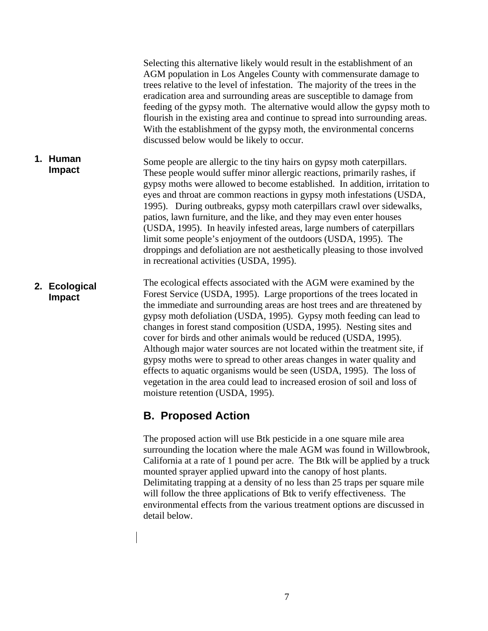<span id="page-9-0"></span>Selecting this alternative likely would result in the establishment of an AGM population in Los Angeles County with commensurate damage to trees relative to the level of infestation. The majority of the trees in the eradication area and surrounding areas are susceptible to damage from feeding of the gypsy moth. The alternative would allow the gypsy moth to flourish in the existing area and continue to spread into surrounding areas. With the establishment of the gypsy moth, the environmental concerns discussed below would be likely to occur.

- Some people are allergic to the tiny hairs on gypsy moth caterpillars. These people would suffer minor allergic reactions, primarily rashes, if gypsy moths were allowed to become established. In addition, irritation to eyes and throat are common reactions in gypsy moth infestations (USDA, 1995). During outbreaks, gypsy moth caterpillars crawl over sidewalks, patios, lawn furniture, and the like, and they may even enter houses (USDA, 1995). In heavily infested areas, large numbers of caterpillars limit some people's enjoyment of the outdoors (USDA, 1995). The droppings and defoliation are not aesthetically pleasing to those involved in recreational activities (USDA, 1995). **1. Human Impact**
- <span id="page-9-1"></span>The ecological effects associated with the AGM were examined by the Forest Service (USDA, 1995). Large proportions of the trees located in the immediate and surrounding areas are host trees and are threatened by gypsy moth defoliation (USDA, 1995). Gypsy moth feeding can lead to changes in forest stand composition (USDA, 1995). Nesting sites and cover for birds and other animals would be reduced (USDA, 1995). Although major water sources are not located within the treatment site, if gypsy moths were to spread to other areas changes in water quality and effects to aquatic organisms would be seen (USDA, 1995). The loss of vegetation in the area could lead to increased erosion of soil and loss of moisture retention (USDA, 1995). **2. Ecological Impact**

#### **B. Proposed Action**

The proposed action will use Btk pesticide in a one square mile area surrounding the location where the male AGM was found in Willowbrook, California at a rate of 1 pound per acre. The Btk will be applied by a truck mounted sprayer applied upward into the canopy of host plants. Delimitating trapping at a density of no less than 25 traps per square mile will follow the three applications of Btk to verify effectiveness. The environmental effects from the various treatment options are discussed in detail below.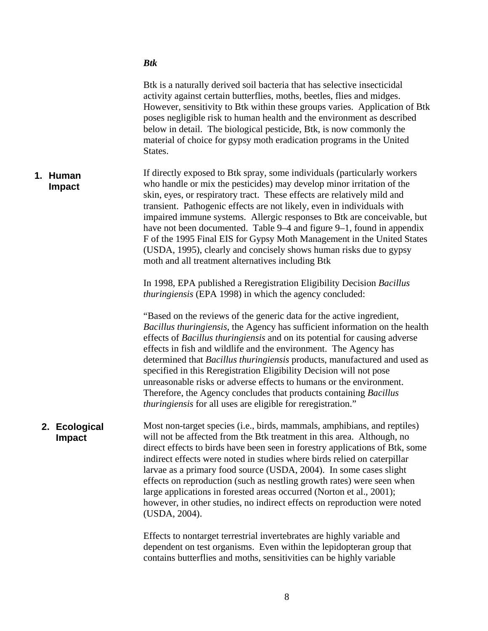|                                | <b>Btk</b>                                                                                                                                                                                                                                                                                                                                                                                                                                                                                                                                                                                                                                                                          |
|--------------------------------|-------------------------------------------------------------------------------------------------------------------------------------------------------------------------------------------------------------------------------------------------------------------------------------------------------------------------------------------------------------------------------------------------------------------------------------------------------------------------------------------------------------------------------------------------------------------------------------------------------------------------------------------------------------------------------------|
|                                | Btk is a naturally derived soil bacteria that has selective insecticidal<br>activity against certain butterflies, moths, beetles, flies and midges.<br>However, sensitivity to Btk within these groups varies. Application of Btk<br>poses negligible risk to human health and the environment as described<br>below in detail. The biological pesticide, Btk, is now commonly the<br>material of choice for gypsy moth eradication programs in the United<br>States.                                                                                                                                                                                                               |
| Human<br>1.<br>Impact          | If directly exposed to Btk spray, some individuals (particularly workers<br>who handle or mix the pesticides) may develop minor irritation of the<br>skin, eyes, or respiratory tract. These effects are relatively mild and<br>transient. Pathogenic effects are not likely, even in individuals with<br>impaired immune systems. Allergic responses to Btk are conceivable, but<br>have not been documented. Table 9–4 and figure 9–1, found in appendix<br>F of the 1995 Final EIS for Gypsy Moth Management in the United States<br>(USDA, 1995), clearly and concisely shows human risks due to gypsy<br>moth and all treatment alternatives including Btk                     |
|                                | In 1998, EPA published a Reregistration Eligibility Decision Bacillus<br><i>thuringiensis</i> (EPA 1998) in which the agency concluded:                                                                                                                                                                                                                                                                                                                                                                                                                                                                                                                                             |
|                                | "Based on the reviews of the generic data for the active ingredient,<br>Bacillus thuringiensis, the Agency has sufficient information on the health<br>effects of <i>Bacillus thuringiensis</i> and on its potential for causing adverse<br>effects in fish and wildlife and the environment. The Agency has<br>determined that Bacillus thuringiensis products, manufactured and used as<br>specified in this Reregistration Eligibility Decision will not pose<br>unreasonable risks or adverse effects to humans or the environment.<br>Therefore, the Agency concludes that products containing Bacillus<br><i>thuringiensis</i> for all uses are eligible for reregistration." |
| 2. Ecological<br><b>Impact</b> | Most non-target species (i.e., birds, mammals, amphibians, and reptiles)<br>will not be affected from the Btk treatment in this area. Although, no<br>direct effects to birds have been seen in forestry applications of Btk, some<br>indirect effects were noted in studies where birds relied on caterpillar<br>larvae as a primary food source (USDA, 2004). In some cases slight<br>effects on reproduction (such as nestling growth rates) were seen when<br>large applications in forested areas occurred (Norton et al., 2001);<br>however, in other studies, no indirect effects on reproduction were noted<br>(USDA, 2004).                                                |
|                                | Effects to nontarget terrestrial invertebrates are highly variable and<br>dependent on test organisms. Even within the lepidopteran group that                                                                                                                                                                                                                                                                                                                                                                                                                                                                                                                                      |

contains butterflies and moths, sensitivities can be highly variable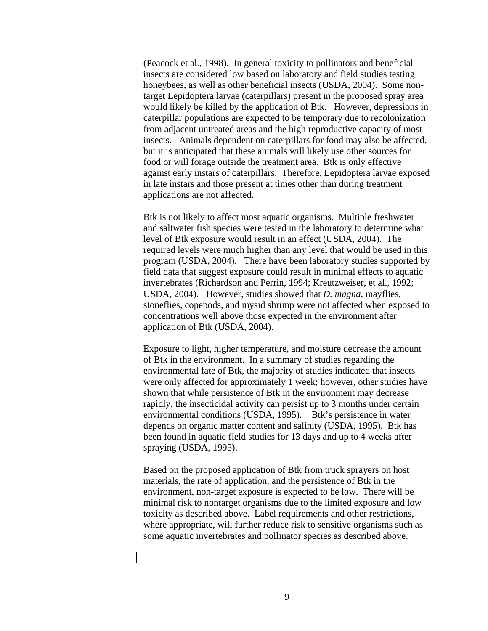(Peacock et al., 1998). In general toxicity to pollinators and beneficial insects are considered low based on laboratory and field studies testing honeybees, as well as other beneficial insects (USDA, 2004). Some nontarget Lepidoptera larvae (caterpillars) present in the proposed spray area would likely be killed by the application of Btk. However, depressions in caterpillar populations are expected to be temporary due to recolonization from adjacent untreated areas and the high reproductive capacity of most insects. Animals dependent on caterpillars for food may also be affected, but it is anticipated that these animals will likely use other sources for food or will forage outside the treatment area. Btk is only effective against early instars of caterpillars. Therefore, Lepidoptera larvae exposed in late instars and those present at times other than during treatment applications are not affected.

Btk is not likely to affect most aquatic organisms. Multiple freshwater and saltwater fish species were tested in the laboratory to determine what level of Btk exposure would result in an effect (USDA, 2004). The required levels were much higher than any level that would be used in this program (USDA, 2004). There have been laboratory studies supported by field data that suggest exposure could result in minimal effects to aquatic invertebrates (Richardson and Perrin, 1994; Kreutzweiser, et al., 1992; USDA, 2004). However, studies showed that *D. magna*, mayflies, stoneflies, copepods, and mysid shrimp were not affected when exposed to concentrations well above those expected in the environment after application of Btk (USDA, 2004).

Exposure to light, higher temperature, and moisture decrease the amount of Btk in the environment. In a summary of studies regarding the environmental fate of Btk, the majority of studies indicated that insects were only affected for approximately 1 week; however, other studies have shown that while persistence of Btk in the environment may decrease rapidly, the insecticidal activity can persist up to 3 months under certain environmental conditions (USDA, 1995). Btk's persistence in water depends on organic matter content and salinity (USDA, 1995). Btk has been found in aquatic field studies for 13 days and up to 4 weeks after spraying (USDA, 1995).

Based on the proposed application of Btk from truck sprayers on host materials, the rate of application, and the persistence of Btk in the environment, non-target exposure is expected to be low. There will be minimal risk to nontarget organisms due to the limited exposure and low toxicity as described above. Label requirements and other restrictions, where appropriate, will further reduce risk to sensitive organisms such as some aquatic invertebrates and pollinator species as described above.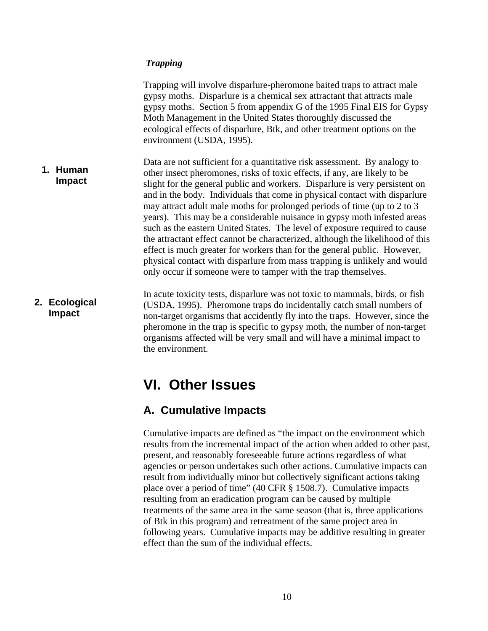#### <span id="page-12-0"></span> *Trapping*

Trapping will involve disparlure-pheromone baited traps to attract male gypsy moths. Disparlure is a chemical sex attractant that attracts male gypsy moths. Section 5 from appendix G of the 1995 Final EIS for Gypsy Moth Management in the United States thoroughly discussed the ecological effects of disparlure, Btk, and other treatment options on the environment (USDA, 1995).

- Data are not sufficient for a quantitative risk assessment. By analogy to other insect pheromones, risks of toxic effects, if any, are likely to be slight for the general public and workers. Disparlure is very persistent on and in the body. Individuals that come in physical contact with disparlure may attract adult male moths for prolonged periods of time (up to 2 to 3 years). This may be a considerable nuisance in gypsy moth infested areas such as the eastern United States. The level of exposure required to cause the attractant effect cannot be characterized, although the likelihood of this effect is much greater for workers than for the general public. However, physical contact with disparlure from mass trapping is unlikely and would only occur if someone were to tamper with the trap themselves. **1. Human Impact**
- <span id="page-12-2"></span><span id="page-12-1"></span>In acute toxicity tests, disparlure was not toxic to mammals, birds, or fish (USDA, 1995). Pheromone traps do incidentally catch small numbers of non-target organisms that accidently fly into the traps. However, since the pheromone in the trap is specific to gypsy moth, the number of non-target organisms affected will be very small and will have a minimal impact to the environment. **2. Ecological Impact**

### **VI. Other Issues**

#### **A. Cumulative Impacts**

Cumulative impacts are defined as "the impact on the environment which results from the incremental impact of the action when added to other past, present, and reasonably foreseeable future actions regardless of what agencies or person undertakes such other actions. Cumulative impacts can result from individually minor but collectively significant actions taking place over a period of time" (40 CFR § 1508.7). Cumulative impacts resulting from an eradication program can be caused by multiple treatments of the same area in the same season (that is, three applications of Btk in this program) and retreatment of the same project area in following years. Cumulative impacts may be additive resulting in greater effect than the sum of the individual effects.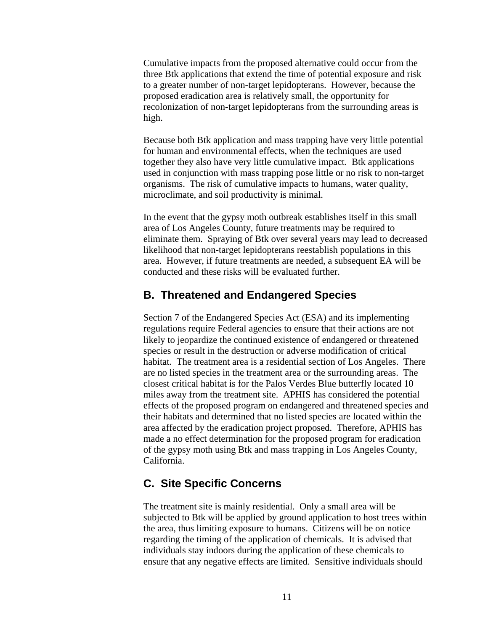<span id="page-13-0"></span>Cumulative impacts from the proposed alternative could occur from the three Btk applications that extend the time of potential exposure and risk to a greater number of non-target lepidopterans. However, because the proposed eradication area is relatively small, the opportunity for recolonization of non-target lepidopterans from the surrounding areas is high.

Because both Btk application and mass trapping have very little potential for human and environmental effects, when the techniques are used together they also have very little cumulative impact. Btk applications used in conjunction with mass trapping pose little or no risk to non-target organisms. The risk of cumulative impacts to humans, water quality, microclimate, and soil productivity is minimal.

In the event that the gypsy moth outbreak establishes itself in this small area of Los Angeles County, future treatments may be required to eliminate them. Spraying of Btk over several years may lead to decreased likelihood that non-target lepidopterans reestablish populations in this area. However, if future treatments are needed, a subsequent EA will be conducted and these risks will be evaluated further.

#### <span id="page-13-1"></span>**B. Threatened and Endangered Species**

Section 7 of the Endangered Species Act (ESA) and its implementing regulations require Federal agencies to ensure that their actions are not likely to jeopardize the continued existence of endangered or threatened species or result in the destruction or adverse modification of critical habitat. The treatment area is a residential section of Los Angeles. There are no listed species in the treatment area or the surrounding areas. The closest critical habitat is for the Palos Verdes Blue butterfly located 10 miles away from the treatment site. APHIS has considered the potential effects of the proposed program on endangered and threatened species and their habitats and determined that no listed species are located within the area affected by the eradication project proposed. Therefore, APHIS has made a no effect determination for the proposed program for eradication of the gypsy moth using Btk and mass trapping in Los Angeles County, California.

#### <span id="page-13-2"></span>**C. Site Specific Concerns**

The treatment site is mainly residential. Only a small area will be subjected to Btk will be applied by ground application to host trees within the area, thus limiting exposure to humans. Citizens will be on notice regarding the timing of the application of chemicals. It is advised that individuals stay indoors during the application of these chemicals to ensure that any negative effects are limited. Sensitive individuals should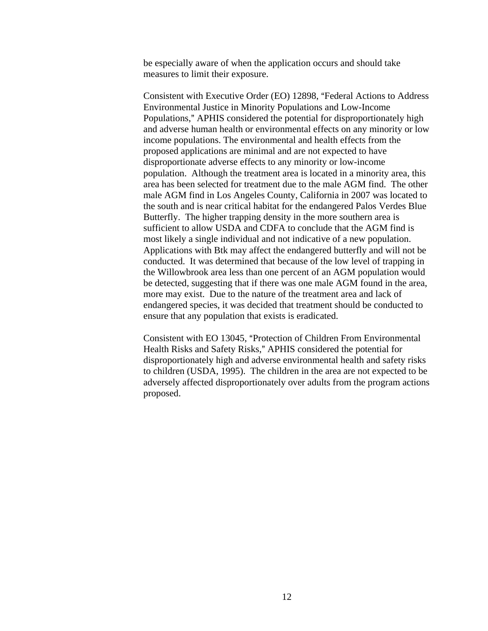be especially aware of when the application occurs and should take measures to limit their exposure.

Consistent with Executive Order (EO) 12898, "Federal Actions to Address Environmental Justice in Minority Populations and Low-Income Populations," APHIS considered the potential for disproportionately high and adverse human health or environmental effects on any minority or low income populations. The environmental and health effects from the proposed applications are minimal and are not expected to have disproportionate adverse effects to any minority or low-income population. Although the treatment area is located in a minority area, this area has been selected for treatment due to the male AGM find. The other male AGM find in Los Angeles County, California in 2007 was located to the south and is near critical habitat for the endangered Palos Verdes Blue Butterfly. The higher trapping density in the more southern area is sufficient to allow USDA and CDFA to conclude that the AGM find is most likely a single individual and not indicative of a new population. Applications with Btk may affect the endangered butterfly and will not be conducted. It was determined that because of the low level of trapping in the Willowbrook area less than one percent of an AGM population would be detected, suggesting that if there was one male AGM found in the area, more may exist. Due to the nature of the treatment area and lack of endangered species, it was decided that treatment should be conducted to ensure that any population that exists is eradicated.

Consistent with EO 13045, "Protection of Children From Environmental Health Risks and Safety Risks," APHIS considered the potential for disproportionately high and adverse environmental health and safety risks to children (USDA, 1995). The children in the area are not expected to be adversely affected disproportionately over adults from the program actions proposed.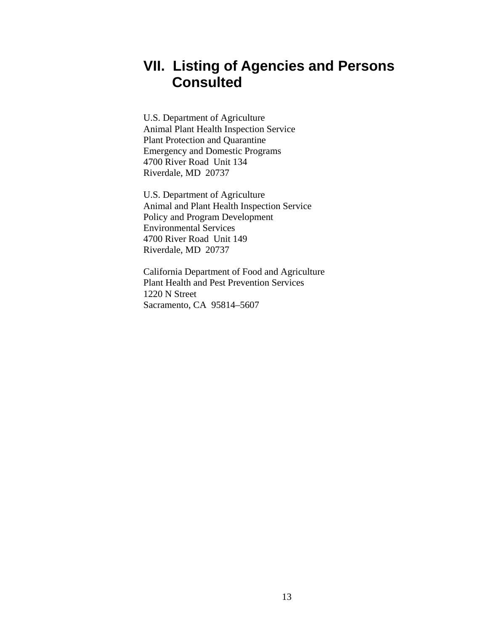### <span id="page-15-1"></span><span id="page-15-0"></span>**VII. Listing of Agencies and Persons Consulted**

U.S. Department of Agriculture Animal Plant Health Inspection Service Plant Protection and Quarantine Emergency and Domestic Programs 4700 River Road Unit 134 Riverdale, MD 20737

U.S. Department of Agriculture Animal and Plant Health Inspection Service Policy and Program Development Environmental Services 4700 River Road Unit 149 Riverdale, MD 20737

California Department of Food and Agriculture Plant Health and Pest Prevention Services 1220 N Street Sacramento, CA 95814–5607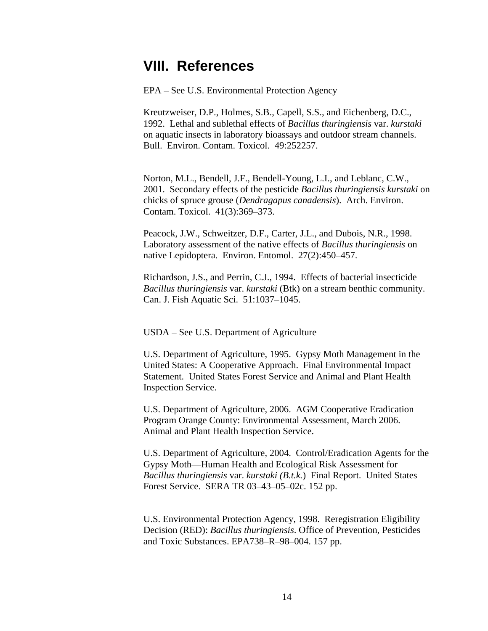### <span id="page-16-1"></span><span id="page-16-0"></span>**VIII. References**

EPA – See U.S. Environmental Protection Agency

Kreutzweiser, D.P., Holmes, S.B., Capell, S.S., and Eichenberg, D.C., 1992. Lethal and sublethal effects of *Bacillus thuringiensis* var. *kurstaki* on aquatic insects in laboratory bioassays and outdoor stream channels. Bull. Environ. Contam. Toxicol. 49:252257.

Norton, M.L., Bendell, J.F., Bendell-Young, L.I., and Leblanc, C.W., 2001. Secondary effects of the pesticide *Bacillus thuringiensis kurstaki* on chicks of spruce grouse (*Dendragapus canadensis*). Arch. Environ. Contam. Toxicol. 41(3):369–373.

Peacock, J.W., Schweitzer, D.F., Carter, J.L., and Dubois, N.R., 1998. Laboratory assessment of the native effects of *Bacillus thuringiensis* on native Lepidoptera. Environ. Entomol. 27(2):450–457.

Richardson, J.S., and Perrin, C.J., 1994. Effects of bacterial insecticide *Bacillus thuringiensis* var. *kurstaki* (Btk) on a stream benthic community. Can. J. Fish Aquatic Sci. 51:1037–1045.

USDA – See U.S. Department of Agriculture

U.S. Department of Agriculture, 1995. Gypsy Moth Management in the United States: A Cooperative Approach. Final Environmental Impact Statement. United States Forest Service and Animal and Plant Health Inspection Service.

U.S. Department of Agriculture, 2006. AGM Cooperative Eradication Program Orange County: Environmental Assessment, March 2006. Animal and Plant Health Inspection Service.

U.S. Department of Agriculture, 2004. Control/Eradication Agents for the Gypsy Moth—Human Health and Ecological Risk Assessment for *Bacillus thuringiensis* var. *kurstaki (B.t.k.*) Final Report. United States Forest Service. SERA TR 03–43–05–02c. 152 pp.

U.S. Environmental Protection Agency, 1998. Reregistration Eligibility Decision (RED): *Bacillus thuringiensis*. Office of Prevention, Pesticides and Toxic Substances. EPA738–R–98–004. 157 pp.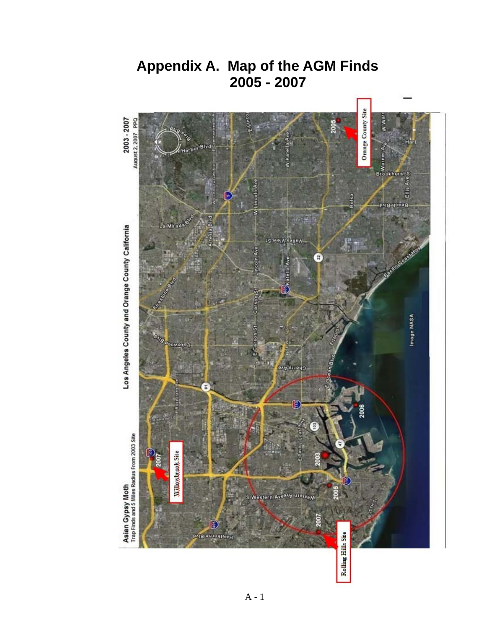

**Appendix A. Map of the AGM Finds 2005 - 2007**